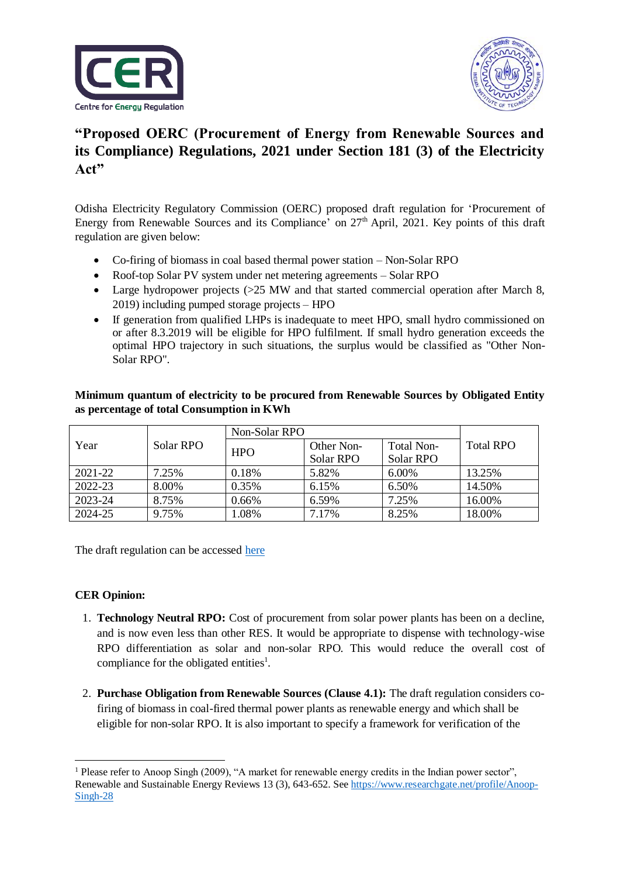



## **"Proposed OERC (Procurement of Energy from Renewable Sources and its Compliance) Regulations, 2021 under Section 181 (3) of the Electricity Act"**

Odisha Electricity Regulatory Commission (OERC) proposed draft regulation for 'Procurement of Energy from Renewable Sources and its Compliance' on 27<sup>th</sup> April, 2021. Key points of this draft regulation are given below:

- Co-firing of biomass in coal based thermal power station Non-Solar RPO
- Roof-top Solar PV system under net metering agreements Solar RPO
- Large hydropower projects (>25 MW and that started commercial operation after March 8, 2019) including pumped storage projects – HPO
- If generation from qualified LHPs is inadequate to meet HPO, small hydro commissioned on or after 8.3.2019 will be eligible for HPO fulfilment. If small hydro generation exceeds the optimal HPO trajectory in such situations, the surplus would be classified as "Other Non-Solar RPO".

## **Minimum quantum of electricity to be procured from Renewable Sources by Obligated Entity as percentage of total Consumption in KWh**

|         | Solar RPO | Non-Solar RPO |            |            |                  |
|---------|-----------|---------------|------------|------------|------------------|
| Year    |           | <b>HPO</b>    | Other Non- | Total Non- | <b>Total RPO</b> |
|         |           |               | Solar RPO  | Solar RPO  |                  |
| 2021-22 | 7.25%     | 0.18%         | 5.82%      | $6.00\%$   | 13.25%           |
| 2022-23 | 8.00%     | 0.35%         | 6.15%      | 6.50%      | 14.50%           |
| 2023-24 | 8.75%     | $0.66\%$      | 6.59%      | 7.25%      | 16.00%           |
| 2024-25 | 9.75%     | 1.08%         | 7.17%      | 8.25%      | 18.00%           |

The draft regulation can be accessed [here](https://cer.iitk.ac.in/odf_assets/upload_files/OERC_PERSC_Regulations_2021_2.pdf)

## **CER Opinion:**

1

- 1. **Technology Neutral RPO:** Cost of procurement from solar power plants has been on a decline, and is now even less than other RES. It would be appropriate to dispense with technology-wise RPO differentiation as solar and non-solar RPO. This would reduce the overall cost of compliance for the obligated entities<sup>1</sup>.
- 2. **Purchase Obligation from Renewable Sources (Clause 4.1):** The draft regulation considers cofiring of biomass in coal-fired thermal power plants as renewable energy and which shall be eligible for non-solar RPO. It is also important to specify a framework for verification of the

<sup>&</sup>lt;sup>1</sup> Please refer to Anoop Singh (2009), "A market for renewable energy credits in the Indian power sector", Renewable and Sustainable Energy Reviews 13 (3), 643-652. See [https://www.researchgate.net/profile/Anoop-](https://www.researchgate.net/profile/Anoop-Singh-28)[Singh-28](https://www.researchgate.net/profile/Anoop-Singh-28)